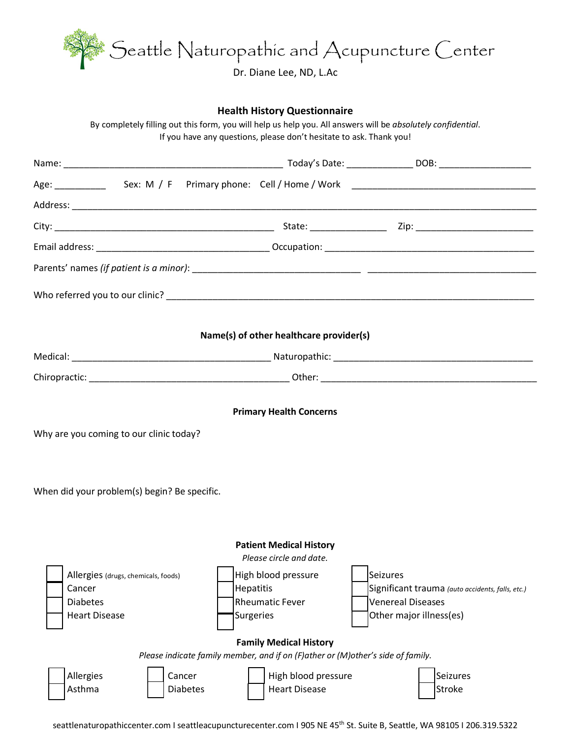

#### **Health History Questionnaire**

By completely filling out this form, you will help us help you. All answers will be *absolutely confidential*. If you have any questions, please don't hesitate to ask. Thank you!

|                                                                                                                           | Name(s) of other healthcare provider(s)                                                                          |                                                                                                                     |
|---------------------------------------------------------------------------------------------------------------------------|------------------------------------------------------------------------------------------------------------------|---------------------------------------------------------------------------------------------------------------------|
|                                                                                                                           |                                                                                                                  |                                                                                                                     |
|                                                                                                                           |                                                                                                                  |                                                                                                                     |
| Why are you coming to our clinic today?                                                                                   | <b>Primary Health Concerns</b>                                                                                   |                                                                                                                     |
| When did your problem(s) begin? Be specific.                                                                              |                                                                                                                  |                                                                                                                     |
|                                                                                                                           | <b>Patient Medical History</b>                                                                                   |                                                                                                                     |
| Allergies (drugs, chemicals, foods)<br>Cancer<br><b>Hepatitis</b><br><b>Diabetes</b><br><b>Heart Disease</b><br>Surgeries | Please circle and date.<br>High blood pressure<br><b>Rheumatic Fever</b>                                         | Seizures<br>Significant trauma (auto accidents, falls, etc.)<br><b>Venereal Diseases</b><br>Other major illness(es) |
|                                                                                                                           | <b>Family Medical History</b><br>Please indicate family member, and if on (F)ather or (M)other's side of family. |                                                                                                                     |
| Cancer<br>Allergies<br>Asthma<br><b>Diabetes</b>                                                                          | High blood pressure<br><b>Heart Disease</b>                                                                      | Seizures<br><b>Stroke</b>                                                                                           |

seattlenaturopathiccenter.com I seattleacupuncturecenter.com I 905 NE 45<sup>th</sup> St. Suite B, Seattle, WA 98105 I 206.319.5322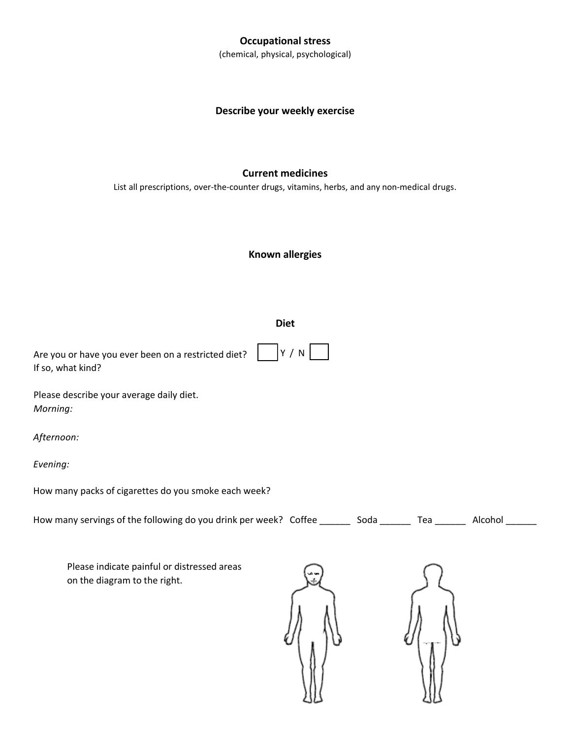### **Occupational stress**

(chemical, physical, psychological)

## **Describe your weekly exercise**

### **Current medicines**

List all prescriptions, over-the-counter drugs, vitamins, herbs, and any non-medical drugs.

### **Known allergies**

#### **Diet**

| Are you or have you ever been on a restricted diet? $ Y / N$ |  |
|--------------------------------------------------------------|--|
| If so, what kind?                                            |  |

Please describe your average daily diet. *Morning:* 

*Afternoon:* 

*Evening:* 

How many packs of cigarettes do you smoke each week?

| How many servings of the following do you drink per week? Coffee ______ |  | Soda | Tea | Alcohol |
|-------------------------------------------------------------------------|--|------|-----|---------|
|-------------------------------------------------------------------------|--|------|-----|---------|

Please indicate painful or distressed areas on the diagram to the right.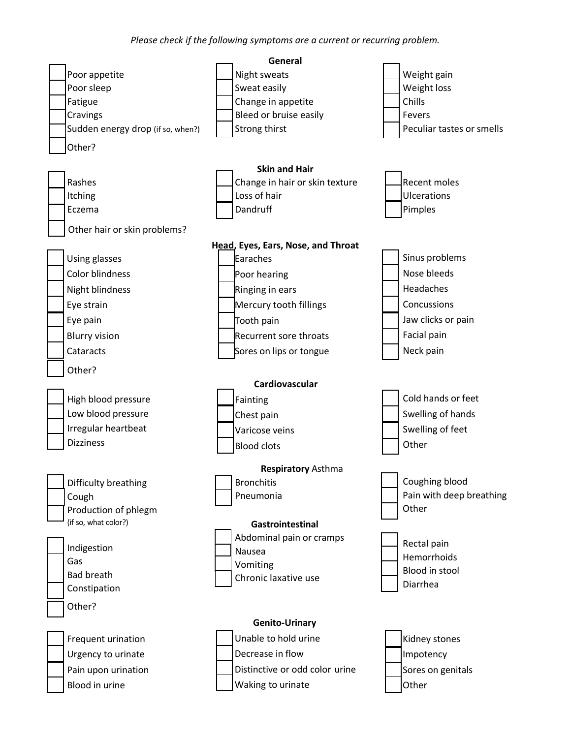*Please check if the following symptoms are a current or recurring problem.*

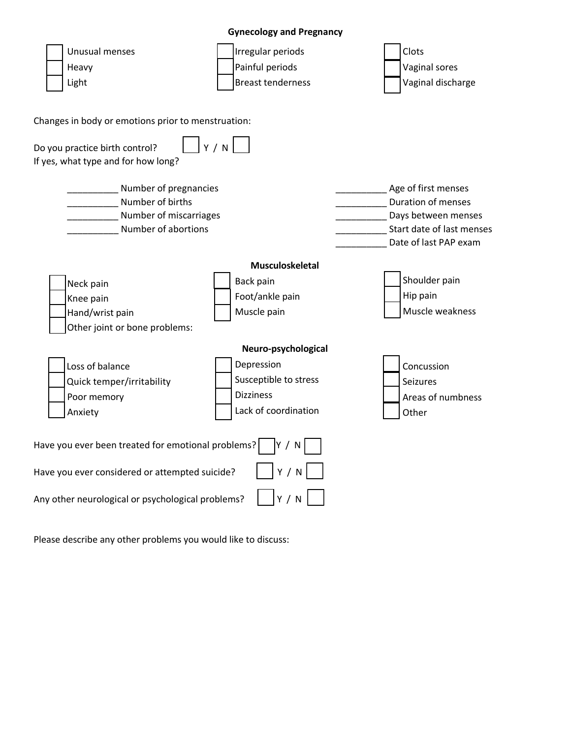## **Gynecology and Pregnancy**

| Unusual menses<br>Heavy<br>Light                                                                                                                          | Irregular periods<br>Painful periods<br><b>Breast tenderness</b>                                       | Clots<br>Vaginal sores<br>Vaginal discharge                                                                            |
|-----------------------------------------------------------------------------------------------------------------------------------------------------------|--------------------------------------------------------------------------------------------------------|------------------------------------------------------------------------------------------------------------------------|
| Changes in body or emotions prior to menstruation:                                                                                                        |                                                                                                        |                                                                                                                        |
| Do you practice birth control?<br>If yes, what type and for how long?                                                                                     | Y/N                                                                                                    |                                                                                                                        |
| Number of pregnancies<br>Number of births<br>Number of miscarriages<br>Number of abortions                                                                |                                                                                                        | Age of first menses<br>Duration of menses<br>Days between menses<br>Start date of last menses<br>Date of last PAP exam |
| Neck pain<br>Knee pain<br>Hand/wrist pain<br>Other joint or bone problems:                                                                                | Musculoskeletal<br>Back pain<br>Foot/ankle pain<br>Muscle pain                                         | Shoulder pain<br>Hip pain<br>Muscle weakness                                                                           |
| Loss of balance<br>Quick temper/irritability<br>Poor memory<br>Anxiety                                                                                    | Neuro-psychological<br>Depression<br>Susceptible to stress<br><b>Dizziness</b><br>Lack of coordination | Concussion<br>Seizures<br>Areas of numbness<br>Other                                                                   |
| Have you ever been treated for emotional problems?<br>Have you ever considered or attempted suicide?<br>Any other neurological or psychological problems? | Y / N<br>Y/N<br>Y / N                                                                                  |                                                                                                                        |

Please describe any other problems you would like to discuss: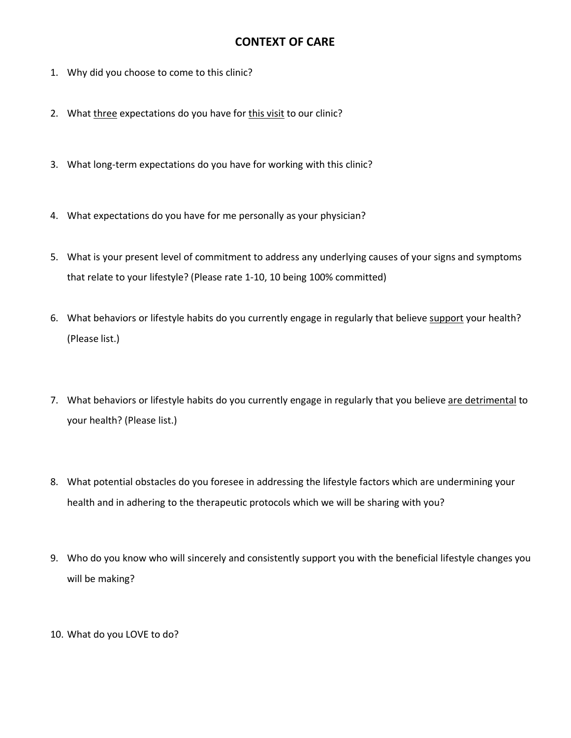# **CONTEXT OF CARE**

- 1. Why did you choose to come to this clinic?
- 2. What three expectations do you have for this visit to our clinic?
- 3. What long-term expectations do you have for working with this clinic?
- 4. What expectations do you have for me personally as your physician?
- 5. What is your present level of commitment to address any underlying causes of your signs and symptoms that relate to your lifestyle? (Please rate 1-10, 10 being 100% committed)
- 6. What behaviors or lifestyle habits do you currently engage in regularly that believe support your health? (Please list.)
- 7. What behaviors or lifestyle habits do you currently engage in regularly that you believe are detrimental to your health? (Please list.)
- 8. What potential obstacles do you foresee in addressing the lifestyle factors which are undermining your health and in adhering to the therapeutic protocols which we will be sharing with you?
- 9. Who do you know who will sincerely and consistently support you with the beneficial lifestyle changes you will be making?
- 10. What do you LOVE to do?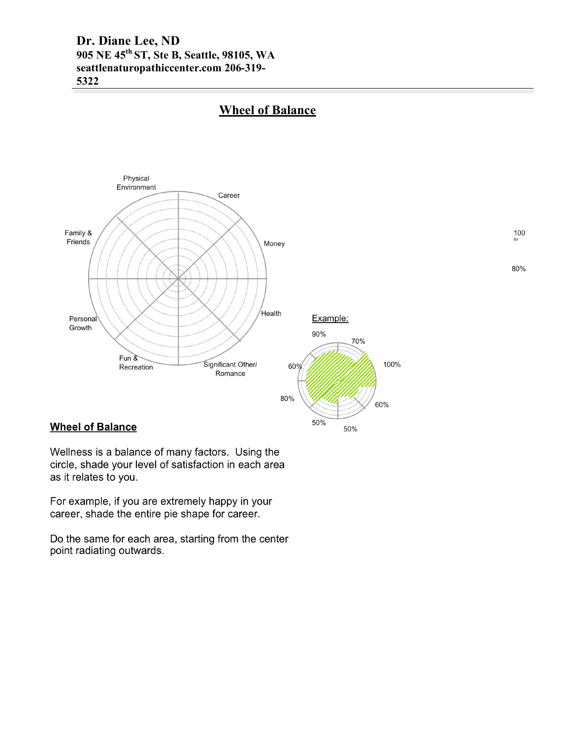**Dr. Diane Lee, ND 905 NE 45th ST, Ste B, Seattle, 98105, WA seattlenaturopathiccenter.com 206-319- 5322** 



# **Wheel of Balance**

 $\frac{100}{\omega}$ 

80%

### **Wheel of Balance**

Wellness is a balance of many factors. Using the circle, shade your level of satisfaction in each area as it relates to you.

For example, if you are extremely happy in your career, shade the entire pie shape for career.

Do the same for each area, starting from the center point radiating outwards.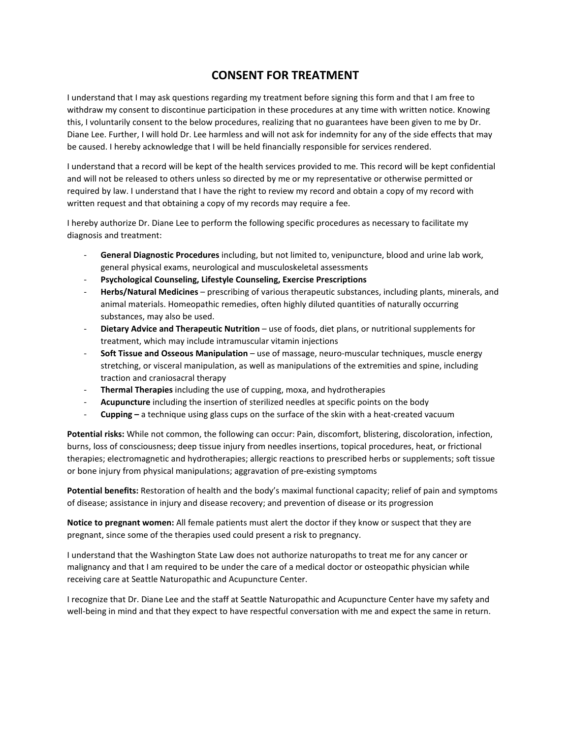# **CONSENT FOR TREATMENT**

I understand that I may ask questions regarding my treatment before signing this form and that I am free to withdraw my consent to discontinue participation in these procedures at any time with written notice. Knowing this, I voluntarily consent to the below procedures, realizing that no guarantees have been given to me by Dr. Diane Lee. Further, I will hold Dr. Lee harmless and will not ask for indemnity for any of the side effects that may be caused. I hereby acknowledge that I will be held financially responsible for services rendered.

I understand that a record will be kept of the health services provided to me. This record will be kept confidential and will not be released to others unless so directed by me or my representative or otherwise permitted or required by law. I understand that I have the right to review my record and obtain a copy of my record with written request and that obtaining a copy of my records may require a fee.

I hereby authorize Dr. Diane Lee to perform the following specific procedures as necessary to facilitate my diagnosis and treatment:

- **General Diagnostic Procedures** including, but not limited to, venipuncture, blood and urine lab work, general physical exams, neurological and musculoskeletal assessments
- **Psychological Counseling, Lifestyle Counseling, Exercise Prescriptions**
- **Herbs/Natural Medicines**  prescribing of various therapeutic substances, including plants, minerals, and animal materials. Homeopathic remedies, often highly diluted quantities of naturally occurring substances, may also be used.
- **Dietary Advice and Therapeutic Nutrition**  use of foods, diet plans, or nutritional supplements for treatment, which may include intramuscular vitamin injections
- **Soft Tissue and Osseous Manipulation** use of massage, neuro-muscular techniques, muscle energy stretching, or visceral manipulation, as well as manipulations of the extremities and spine, including traction and craniosacral therapy
- **Thermal Therapies** including the use of cupping, moxa, and hydrotherapies
- **Acupuncture** including the insertion of sterilized needles at specific points on the body
- **Cupping** a technique using glass cups on the surface of the skin with a heat-created vacuum

**Potential risks:** While not common, the following can occur: Pain, discomfort, blistering, discoloration, infection, burns, loss of consciousness; deep tissue injury from needles insertions, topical procedures, heat, or frictional therapies; electromagnetic and hydrotherapies; allergic reactions to prescribed herbs or supplements; soft tissue or bone injury from physical manipulations; aggravation of pre-existing symptoms

**Potential benefits:** Restoration of health and the body's maximal functional capacity; relief of pain and symptoms of disease; assistance in injury and disease recovery; and prevention of disease or its progression

**Notice to pregnant women:** All female patients must alert the doctor if they know or suspect that they are pregnant, since some of the therapies used could present a risk to pregnancy.

I understand that the Washington State Law does not authorize naturopaths to treat me for any cancer or malignancy and that I am required to be under the care of a medical doctor or osteopathic physician while receiving care at Seattle Naturopathic and Acupuncture Center.

I recognize that Dr. Diane Lee and the staff at Seattle Naturopathic and Acupuncture Center have my safety and well-being in mind and that they expect to have respectful conversation with me and expect the same in return.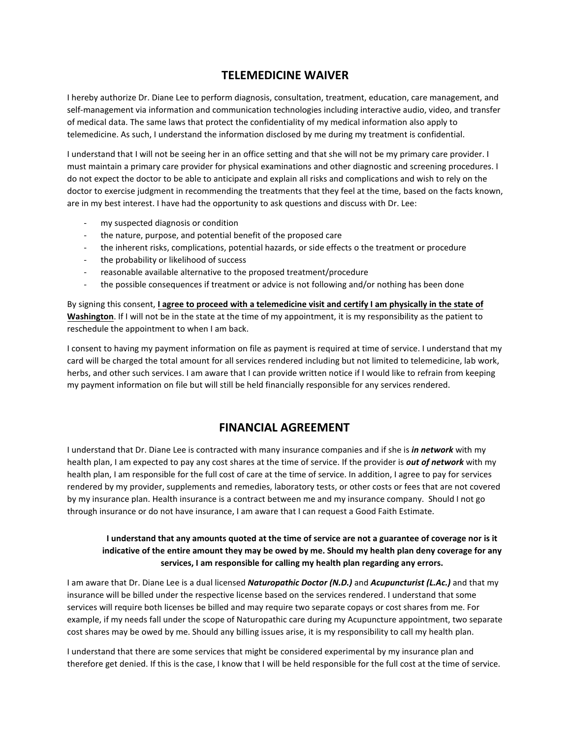# **TELEMEDICINE WAIVER**

I hereby authorize Dr. Diane Lee to perform diagnosis, consultation, treatment, education, care management, and self-management via information and communication technologies including interactive audio, video, and transfer of medical data. The same laws that protect the confidentiality of my medical information also apply to telemedicine. As such, I understand the information disclosed by me during my treatment is confidential.

I understand that I will not be seeing her in an office setting and that she will not be my primary care provider. I must maintain a primary care provider for physical examinations and other diagnostic and screening procedures. I do not expect the doctor to be able to anticipate and explain all risks and complications and wish to rely on the doctor to exercise judgment in recommending the treatments that they feel at the time, based on the facts known, are in my best interest. I have had the opportunity to ask questions and discuss with Dr. Lee:

- my suspected diagnosis or condition
- the nature, purpose, and potential benefit of the proposed care
- the inherent risks, complications, potential hazards, or side effects o the treatment or procedure
- the probability or likelihood of success
- reasonable available alternative to the proposed treatment/procedure
- the possible consequences if treatment or advice is not following and/or nothing has been done

By signing this consent, **I agree to proceed with a telemedicine visit and certify I am physically in the state of Washington**. If I will not be in the state at the time of my appointment, it is my responsibility as the patient to reschedule the appointment to when I am back.

I consent to having my payment information on file as payment is required at time of service. I understand that my card will be charged the total amount for all services rendered including but not limited to telemedicine, lab work, herbs, and other such services. I am aware that I can provide written notice if I would like to refrain from keeping my payment information on file but will still be held financially responsible for any services rendered.

## **FINANCIAL AGREEMENT**

I understand that Dr. Diane Lee is contracted with many insurance companies and if she is *in network* with my health plan, I am expected to pay any cost shares at the time of service. If the provider is *out of network* with my health plan, I am responsible for the full cost of care at the time of service. In addition, I agree to pay for services rendered by my provider, supplements and remedies, laboratory tests, or other costs or fees that are not covered by my insurance plan. Health insurance is a contract between me and my insurance company. Should I not go through insurance or do not have insurance, I am aware that I can request a Good Faith Estimate.

#### **I understand that any amounts quoted at the time of service are not a guarantee of coverage nor is it indicative of the entire amount they may be owed by me. Should my health plan deny coverage for any services, I am responsible for calling my health plan regarding any errors.**

I am aware that Dr. Diane Lee is a dual licensed *Naturopathic Doctor (N.D.)* and *Acupuncturist (L.Ac.)* and that my insurance will be billed under the respective license based on the services rendered. I understand that some services will require both licenses be billed and may require two separate copays or cost shares from me. For example, if my needs fall under the scope of Naturopathic care during my Acupuncture appointment, two separate cost shares may be owed by me. Should any billing issues arise, it is my responsibility to call my health plan.

I understand that there are some services that might be considered experimental by my insurance plan and therefore get denied. If this is the case, I know that I will be held responsible for the full cost at the time of service.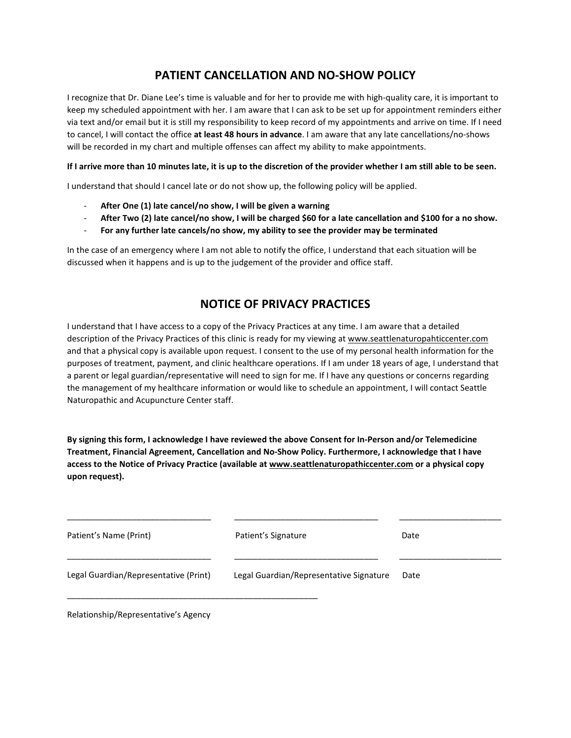# **PATIENT CANCELLATION AND NO-SHOW POLICY**

I recognize that Dr. Diane Lee's time is valuable and for her to provide me with high-quality care, it is important to keep my scheduled appointment with her. I am aware that I can ask to be set up for appointment reminders either via text and/or email but it is still my responsibility to keep record of my appointments and arrive on time. If I need to cancel, I will contact the office **at least 48 hours in advance**. I am aware that any late cancellations/no-shows will be recorded in my chart and multiple offenses can affect my ability to make appointments.

#### **If I arrive more than 10 minutes late, it is up to the discretion of the provider whether I am still able to be seen.**

I understand that should I cancel late or do not show up, the following policy will be applied.

- **After One (1) late cancel/no show, I will be given a warning**
- **After Two (2) late cancel/no show, I will be charged \$60 for a late cancellation and \$100 for a no show.**
- **For any further late cancels/no show, my ability to see the provider may be terminated**

In the case of an emergency where I am not able to notify the office, I understand that each situation will be discussed when it happens and is up to the judgement of the provider and office staff.

# **NOTICE OF PRIVACY PRACTICES**

I understand that I have access to a copy of the Privacy Practices at any time. I am aware that a detailed description of the Privacy Practices of this clinic is ready for my viewing at [www.seattlenaturopahticcenter.com](http://www.seattlenaturopahticcenter.com/) and that a physical copy is available upon request. I consent to the use of my personal health information for the purposes of treatment, payment, and clinic healthcare operations. If I am under 18 years of age, I understand that a parent or legal guardian/representative will need to sign for me. If I have any questions or concerns regarding the management of my healthcare information or would like to schedule an appointment, I will contact Seattle Naturopathic and Acupuncture Center staff.

**By signing this form, I acknowledge I have reviewed the above Consent for In-Person and/or Telemedicine Treatment, Financial Agreement, Cancellation and No-Show Policy. Furthermore, I acknowledge that I have access to the Notice of Privacy Practice (available at [www.seattlenaturopathiccenter.com](http://www.seattlenaturopathiccenter.com/) or a physical copy upon request).**

| Patient's Name (Print)                | Patient's Signature                     | Date |
|---------------------------------------|-----------------------------------------|------|
| Legal Guardian/Representative (Print) | Legal Guardian/Representative Signature | Date |

Relationship/Representative's Agency